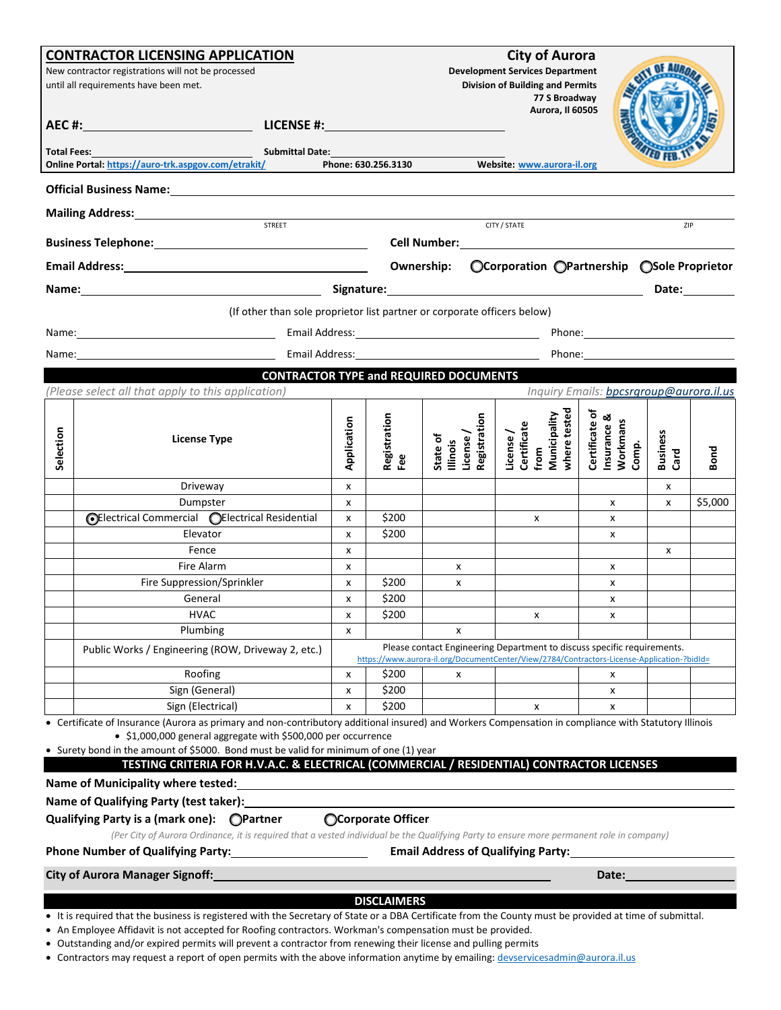| <b>CONTRACTOR LICENSING APPLICATION</b><br>New contractor registrations will not be processed<br>until all requirements have been met. |                                                                                                                                                                                                                                                                                                                                                                                                                                                                                                                             |                                                                                                                      |                                                                     | <b>City of Aurora</b><br><b>Development Services Department</b><br><b>Division of Building and Permits</b><br>77 S Broadway<br>Aurora, Il 60505 |                                   |              |                                                                                                                                                                       |                                                              |                         |         |  |
|----------------------------------------------------------------------------------------------------------------------------------------|-----------------------------------------------------------------------------------------------------------------------------------------------------------------------------------------------------------------------------------------------------------------------------------------------------------------------------------------------------------------------------------------------------------------------------------------------------------------------------------------------------------------------------|----------------------------------------------------------------------------------------------------------------------|---------------------------------------------------------------------|-------------------------------------------------------------------------------------------------------------------------------------------------|-----------------------------------|--------------|-----------------------------------------------------------------------------------------------------------------------------------------------------------------------|--------------------------------------------------------------|-------------------------|---------|--|
| <b>Total Fees:</b><br><b>Example 20 Submittal Date: Campbell</b><br>Online Portal: https://auro-trk.aspgov.com/etrakit/                |                                                                                                                                                                                                                                                                                                                                                                                                                                                                                                                             |                                                                                                                      |                                                                     |                                                                                                                                                 |                                   |              |                                                                                                                                                                       |                                                              |                         |         |  |
|                                                                                                                                        |                                                                                                                                                                                                                                                                                                                                                                                                                                                                                                                             |                                                                                                                      |                                                                     |                                                                                                                                                 |                                   |              |                                                                                                                                                                       |                                                              |                         |         |  |
|                                                                                                                                        |                                                                                                                                                                                                                                                                                                                                                                                                                                                                                                                             |                                                                                                                      | Phone: 630.256.3130<br>Website: www.aurora-il.org                   |                                                                                                                                                 |                                   |              |                                                                                                                                                                       |                                                              |                         |         |  |
|                                                                                                                                        | Official Business Name: 1988 Contract Contract Contract Contract Contract Contract Contract Contract Contract Contract Contract Contract Contract Contract Contract Contract Contract Contract Contract Contract Contract Cont                                                                                                                                                                                                                                                                                              |                                                                                                                      |                                                                     |                                                                                                                                                 |                                   |              |                                                                                                                                                                       |                                                              |                         |         |  |
|                                                                                                                                        |                                                                                                                                                                                                                                                                                                                                                                                                                                                                                                                             |                                                                                                                      |                                                                     |                                                                                                                                                 |                                   |              |                                                                                                                                                                       |                                                              |                         |         |  |
| STREET                                                                                                                                 |                                                                                                                                                                                                                                                                                                                                                                                                                                                                                                                             |                                                                                                                      | CITY / STATE<br>Cell Number: National According to the Cell Number: |                                                                                                                                                 |                                   |              |                                                                                                                                                                       |                                                              | <b>ZIP</b>              |         |  |
|                                                                                                                                        |                                                                                                                                                                                                                                                                                                                                                                                                                                                                                                                             |                                                                                                                      | Ownership:<br>○Corporation ○Partnership ○Sole Proprietor            |                                                                                                                                                 |                                   |              |                                                                                                                                                                       |                                                              |                         |         |  |
|                                                                                                                                        |                                                                                                                                                                                                                                                                                                                                                                                                                                                                                                                             |                                                                                                                      |                                                                     |                                                                                                                                                 |                                   |              |                                                                                                                                                                       |                                                              |                         |         |  |
|                                                                                                                                        |                                                                                                                                                                                                                                                                                                                                                                                                                                                                                                                             |                                                                                                                      |                                                                     |                                                                                                                                                 |                                   |              |                                                                                                                                                                       |                                                              |                         |         |  |
|                                                                                                                                        |                                                                                                                                                                                                                                                                                                                                                                                                                                                                                                                             | (If other than sole proprietor list partner or corporate officers below)                                             |                                                                     |                                                                                                                                                 |                                   |              |                                                                                                                                                                       |                                                              |                         |         |  |
|                                                                                                                                        |                                                                                                                                                                                                                                                                                                                                                                                                                                                                                                                             |                                                                                                                      |                                                                     |                                                                                                                                                 |                                   |              |                                                                                                                                                                       | Phone: 2008                                                  |                         |         |  |
|                                                                                                                                        | Name: Phone: Phone: Phone: Phone: Phone: Phone: Phone: Phone: Phone: Phone: Phone: Phone: Phone: Phone: Phone: Phone: Phone: Phone: Phone: Phone: Phone: Phone: Phone: Phone: Phone: Phone: Phone: Phone: Phone: Phone: Phone:                                                                                                                                                                                                                                                                                              |                                                                                                                      |                                                                     |                                                                                                                                                 |                                   |              |                                                                                                                                                                       |                                                              |                         |         |  |
|                                                                                                                                        |                                                                                                                                                                                                                                                                                                                                                                                                                                                                                                                             | <b>CONTRACTOR TYPE and REQUIRED DOCUMENTS</b>                                                                        |                                                                     |                                                                                                                                                 |                                   |              |                                                                                                                                                                       |                                                              |                         |         |  |
|                                                                                                                                        | (Please select all that apply to this application)                                                                                                                                                                                                                                                                                                                                                                                                                                                                          |                                                                                                                      |                                                                     |                                                                                                                                                 |                                   |              |                                                                                                                                                                       | Inquiry Emails: bpcsrgroup@aurora.il.us                      |                         |         |  |
| Selection                                                                                                                              | License Type                                                                                                                                                                                                                                                                                                                                                                                                                                                                                                                |                                                                                                                      | Application                                                         | Registration<br>Fee                                                                                                                             | State of<br>Illinois<br>License / | Registration | Municipality<br>where tested<br>License /<br>Certificate<br>from                                                                                                      | Certificate of<br>ಹ<br><b>Norkmans</b><br>Insurance<br>Comp. | <b>Business</b><br>Card | Bond    |  |
|                                                                                                                                        | Driveway                                                                                                                                                                                                                                                                                                                                                                                                                                                                                                                    |                                                                                                                      | $\mathsf{x}$                                                        |                                                                                                                                                 |                                   |              |                                                                                                                                                                       |                                                              | $\mathsf{x}$            |         |  |
|                                                                                                                                        | Dumpster                                                                                                                                                                                                                                                                                                                                                                                                                                                                                                                    |                                                                                                                      | x                                                                   |                                                                                                                                                 |                                   |              |                                                                                                                                                                       | X                                                            | x                       | \$5,000 |  |
|                                                                                                                                        | ⊙Electrical Commercial ○Electrical Residential                                                                                                                                                                                                                                                                                                                                                                                                                                                                              |                                                                                                                      | x                                                                   | \$200                                                                                                                                           |                                   |              | x                                                                                                                                                                     | x                                                            |                         |         |  |
|                                                                                                                                        | Elevator                                                                                                                                                                                                                                                                                                                                                                                                                                                                                                                    |                                                                                                                      | x                                                                   | \$200                                                                                                                                           |                                   |              |                                                                                                                                                                       | $\mathsf{x}$                                                 |                         |         |  |
|                                                                                                                                        | Fence                                                                                                                                                                                                                                                                                                                                                                                                                                                                                                                       |                                                                                                                      | x                                                                   |                                                                                                                                                 |                                   |              |                                                                                                                                                                       |                                                              | x                       |         |  |
|                                                                                                                                        | Fire Alarm                                                                                                                                                                                                                                                                                                                                                                                                                                                                                                                  |                                                                                                                      | $\mathsf{x}$                                                        |                                                                                                                                                 | X                                 |              |                                                                                                                                                                       | X                                                            |                         |         |  |
|                                                                                                                                        | Fire Suppression/Sprinkler                                                                                                                                                                                                                                                                                                                                                                                                                                                                                                  |                                                                                                                      | x                                                                   | \$200                                                                                                                                           | x                                 |              |                                                                                                                                                                       | x                                                            |                         |         |  |
|                                                                                                                                        | General                                                                                                                                                                                                                                                                                                                                                                                                                                                                                                                     |                                                                                                                      | x                                                                   | \$200                                                                                                                                           |                                   |              |                                                                                                                                                                       | x                                                            |                         |         |  |
|                                                                                                                                        | <b>HVAC</b>                                                                                                                                                                                                                                                                                                                                                                                                                                                                                                                 |                                                                                                                      | x                                                                   | \$200                                                                                                                                           |                                   |              | X                                                                                                                                                                     | X                                                            |                         |         |  |
|                                                                                                                                        | Plumbing                                                                                                                                                                                                                                                                                                                                                                                                                                                                                                                    |                                                                                                                      | x                                                                   |                                                                                                                                                 | x                                 |              |                                                                                                                                                                       |                                                              |                         |         |  |
|                                                                                                                                        | Public Works / Engineering (ROW, Driveway 2, etc.)                                                                                                                                                                                                                                                                                                                                                                                                                                                                          |                                                                                                                      |                                                                     |                                                                                                                                                 |                                   |              | Please contact Engineering Department to discuss specific requirements.<br>https://www.aurora-il.org/DocumentCenter/View/2784/Contractors-License-Application-?bidld= |                                                              |                         |         |  |
|                                                                                                                                        | Roofing                                                                                                                                                                                                                                                                                                                                                                                                                                                                                                                     |                                                                                                                      | X                                                                   | \$200                                                                                                                                           | x                                 |              |                                                                                                                                                                       | x                                                            |                         |         |  |
|                                                                                                                                        | Sign (General)                                                                                                                                                                                                                                                                                                                                                                                                                                                                                                              |                                                                                                                      | x                                                                   | \$200                                                                                                                                           |                                   |              |                                                                                                                                                                       | x                                                            |                         |         |  |
|                                                                                                                                        | Sign (Electrical)                                                                                                                                                                                                                                                                                                                                                                                                                                                                                                           |                                                                                                                      | $\boldsymbol{\mathsf{x}}$                                           | \$200                                                                                                                                           |                                   |              | X                                                                                                                                                                     | x                                                            |                         |         |  |
|                                                                                                                                        | • Certificate of Insurance (Aurora as primary and non-contributory additional insured) and Workers Compensation in compliance with Statutory Illinois<br>• \$1,000,000 general aggregate with \$500,000 per occurrence<br>• Surety bond in the amount of \$5000. Bond must be valid for minimum of one (1) year<br>TESTING CRITERIA FOR H.V.A.C. & ELECTRICAL (COMMERCIAL / RESIDENTIAL) CONTRACTOR LICENSES                                                                                                                |                                                                                                                      |                                                                     |                                                                                                                                                 |                                   |              |                                                                                                                                                                       |                                                              |                         |         |  |
|                                                                                                                                        | Name of Municipality where tested:                                                                                                                                                                                                                                                                                                                                                                                                                                                                                          | <u> 1980 - Johann Barn, mars ann an t-Amhain Aonaich an t-Aonaich an t-Aonaich ann an t-Aonaich ann an t-Aonaich</u> |                                                                     |                                                                                                                                                 |                                   |              |                                                                                                                                                                       |                                                              |                         |         |  |
|                                                                                                                                        | Name of Qualifying Party (test taker):                                                                                                                                                                                                                                                                                                                                                                                                                                                                                      |                                                                                                                      |                                                                     |                                                                                                                                                 |                                   |              |                                                                                                                                                                       |                                                              |                         |         |  |
|                                                                                                                                        | Qualifying Party is a (mark one): OPartner<br>(Per City of Aurora Ordinance, it is required that a vested individual be the Qualifying Party to ensure more permanent role in company)<br>Phone Number of Qualifying Party: 2000 2010 2020 2021                                                                                                                                                                                                                                                                             |                                                                                                                      |                                                                     | ○Corporate Officer                                                                                                                              |                                   |              | <b>Email Address of Qualifying Party:</b>                                                                                                                             |                                                              |                         |         |  |
|                                                                                                                                        | <b>City of Aurora Manager Signoff:</b>                                                                                                                                                                                                                                                                                                                                                                                                                                                                                      |                                                                                                                      |                                                                     |                                                                                                                                                 |                                   |              |                                                                                                                                                                       | Date:                                                        |                         |         |  |
|                                                                                                                                        |                                                                                                                                                                                                                                                                                                                                                                                                                                                                                                                             |                                                                                                                      |                                                                     | <b>DISCLAIMERS</b>                                                                                                                              |                                   |              |                                                                                                                                                                       |                                                              |                         |         |  |
|                                                                                                                                        | • It is required that the business is registered with the Secretary of State or a DBA Certificate from the County must be provided at time of submittal.<br>• An Employee Affidavit is not accepted for Roofing contractors. Workman's compensation must be provided.<br>• Outstanding and/or expired permits will prevent a contractor from renewing their license and pulling permits<br>• Contractors may request a report of open permits with the above information anytime by emailing: devservicesadmin@aurora.il.us |                                                                                                                      |                                                                     |                                                                                                                                                 |                                   |              |                                                                                                                                                                       |                                                              |                         |         |  |